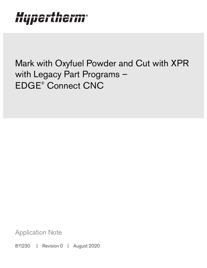# Hypertherm®

Mark with Oxyfuel Powder and Cut with XPR with Legacy Part Programs – EDGE® Connect CNC

Application Note

811230 | Revision 0 | August 2020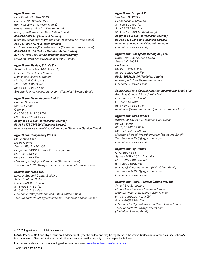#### Hypertherm, Inc.

Etna Road, P.O. Box 5010 Hanover, NH 03755 USA 603-643-3441 Tel (Main Office) 603-643-5352 Fax (All Departments) info@hypertherm.com (Main Office Email) 800-643-9878 Tel (Technical Service) technical.service@hypertherm.com (Technical Service Email) 800-737-2978 Tel (Customer Service) customer.service@hypertherm.com (Customer Service Email) 866-643-7711 Tel (Return Materials Authorization) 877-371-2876 Fax (Return Materials Authorization) return.materials@hypertherm.com (RMA email)

#### Hypertherm México, S.A. de C.V.

Avenida Toluca No. 444, Anexo 1, Colonia Olivar de los Padres Delegación Álvaro Obregón México, D.F. C.P. 01780 52 55 5681 8109 Tel 52 55 5683 2127 Fax Soporte.Tecnico@hypertherm.com (Technical Service Email)

#### Hypertherm Plasmatechnik GmbH

Sophie-Scholl-Platz 5 63452 Hanau **Germany** 00 800 33 24 97 37 Tel 00 800 49 73 73 29 Fax

#### 31 (0) 165 596900 Tel (Technical Service)

00 800 4973 7843 Tel (Technical Service) technicalservice.emea@hypertherm.com (Technical Service Email)

#### Hypertherm (Singapore) Pte Ltd.

82 Genting Lane Media Centre Annexe Block #A01-01 Singapore 349567, Republic of Singapore 65 6841 2489 Tel 65 6841 2490 Fax Marketing.asia@hypertherm.com (Marketing Email) TechSupportAPAC@hypertherm.com (Technical Service Email)

#### Hypertherm Japan Ltd.

Level 9, Edobori Center Building 2-1-1 Edobori, Nishi-ku Osaka 550-0002 Japan 81 6 6225 1183 Tel 81 6 6225 1184 Fax HTJapan.info@hypertherm.com (Main Office Email) TechSupportAPAC@hypertherm.com (Technical Service Email)

#### Hypertherm Europe B.V.

Vaartveld 9, 4704 SE Roosendaal, Nederland 31 165 596907 Tel 31 165 596901 Fax 31 165 596908 Tel (Marketing) 31 (0) 165 596900 Tel (Technical Service)

00 800 4973 7843 Tel (Technical Service)

technicalservice.emea@hypertherm.com (Technical Service Email)

#### Hypertherm (Shanghai) Trading Co., Ltd.

B301, 495 ShangZhong Road Shanghai, 200231 PR China 86-21-80231122 Tel 86-21-80231120 Fax

86-21-80231128 Tel (Technical Service)

techsupport.china@hypertherm.com (Technical Service Email)

#### South America & Central America: Hypertherm Brasil Ltda.

Rua Bras Cubas, 231 – Jardim Maia Guarulhos, SP – Brasil CEP 07115-030 55 11 2409 2636 Tel tecnico.sa@hypertherm.com (Technical Service Email)

#### Hypertherm Korea Branch

#3904. APEC-ro 17. Heaundae-gu. Busan. Korea 48060 82 (0)51 747 0358 Tel 82 (0)51 701 0358 Fax Marketing.korea@hypertherm.com (Marketing Email) TechSupportAPAC@hypertherm.com (Technical Service Email)

#### Hypertherm Pty Limited

GPO Box 4836 Sydney NSW 2001, Australia 61 (0) 437 606 995 Tel 61 7 3219 9010 Fax au.sales@Hypertherm.com (Main Office Email) TechSupportAPAC@hypertherm.com (Technical Service Email)

#### Hypertherm (India) Thermal Cutting Pvt. Ltd

A-18 / B-1 Extension, Mohan Co-Operative Industrial Estate, Mathura Road, New Delhi 110044, India 91-11-40521201/ 2/ 3 Tel 91-11 40521204 Fax HTIndia.info@hypertherm.com (Main Office Email) TechSupportAPAC@hypertherm.com (Technical Service Email)

© 2020 Hypertherm, Inc. All rights reserved.

EDGE, Phoenix, XPR, and Hypertherm are trademarks of Hypertherm, Inc. and may be registered in the United States and/or other countries. EtherCAT is a trademark of Beckhoff Automation. All other trademarks are the property of their respective holders.

[Environmental stewardship is one of Hypertherm's core values. w](https://www.hypertherm.com/environment)ww.hypertherm.com/environment

100% Associate-owned